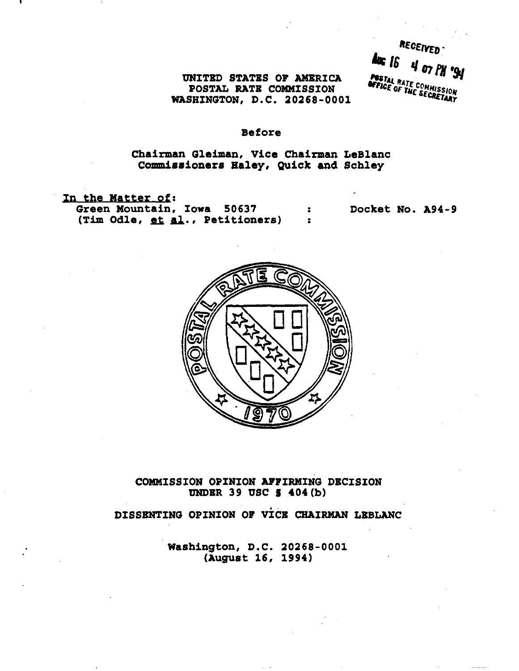RECEIVED **Aug 16**  $4$  07  $PH$  '94 **PASTAL RATE COMMISSION**<br>**OFFICE OF THE SECRETARY** 

UNITED STATBS OF AMERICA POSTAL RATB COMMISSION WASHINGTON, D.C. 20268-0001

# Before

# Chairman G1eiman, Vice Chairman LeBlanc Commissioners Haley, Quick and Schley

• · •

In the Matter of: Green Mountain, Iowa 50637 (Tim Odle, et al., Petitioners)

Docket No. A94-9



COMMISSION OPINION AFFIRMING DBCISION UNDER 39 USC  $\frac{1}{5}$  404(b)

.<br>÷*.* DISSENTING OPINION OF VICB CHAIRMAN LBBLANC

> Washington, D.C. 20268-0001 (August 16, 1994)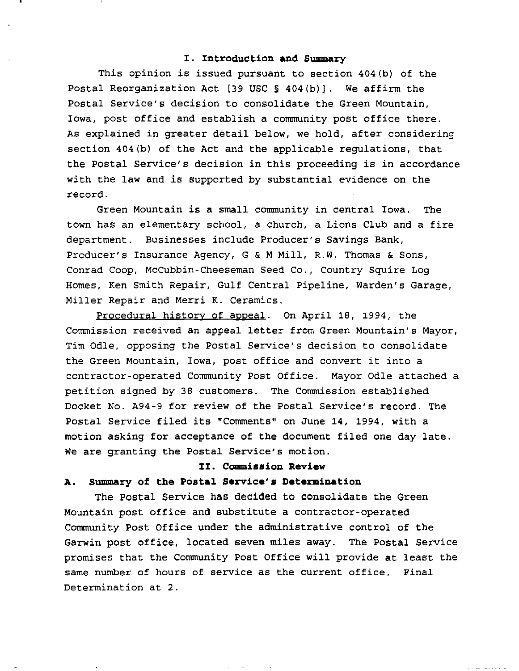### **I. Introduction and Summary**

This opinion is issued pursuant to section 404(b} of the Postal Reorganization Act [39 USC  $\S$  404(b)]. We affirm the Postal Service's decision to consolidate the Green Mountain, Iowa, post office and establish a community post office there. As explained in greater detail below, we hold, after considering section 404(b) of the Act and the applicable regulations, that the Postal Service's decision in this proceeding is in accordance with the law and is supported by substantial evidence on the record.

Green Mountain is a small community in central Iowa. The town has an elementary school, a church, a Lions Club and a fire department. Businesses include Producer's Savings Bank, Producer's Insurance Agency, G & M Mill, R.W. Thomas & Sons, Conrad Coop, McCubbin-Cheeseman Seed Co., Country Squire Log Homes, Ken Smith Repair, Gulf Central Pipeline, Warden's Garage, Miller Repair and Merri K. Ceramics.

Procedural history of appeal. On April 18, 1994, the Commission received an appeal letter from Green Mountain's Mayor, Tim OdIe, opposing the Postal Service's decision to consolidate the Green Mountain, Iowa, post office and convert it into <sup>a</sup> contractor-operated Community Post Office. Mayor OdIe attached a petition signed by 38 customers. The Commission established Docket No. A94-9 for review of the Postal Service's record. The Postal Service filed its "Comments" on June 14, 1994, with <sup>a</sup> motion asking for acceptance of the document filed one day late. We are granting the Postal Service's motion.

### **II. Commission Review**

#### **A. Summary of the Postal Service's Determination**

The Postal Service has decided to consolidate the Green Mountain post office and substitute a contractor-operated Community Post Office under the administrative control of the Garwin post office, located seven miles away. The Postal Service promises that the Community Post Office will provide at least the same number of hours of service as the current office. Final Determination at 2.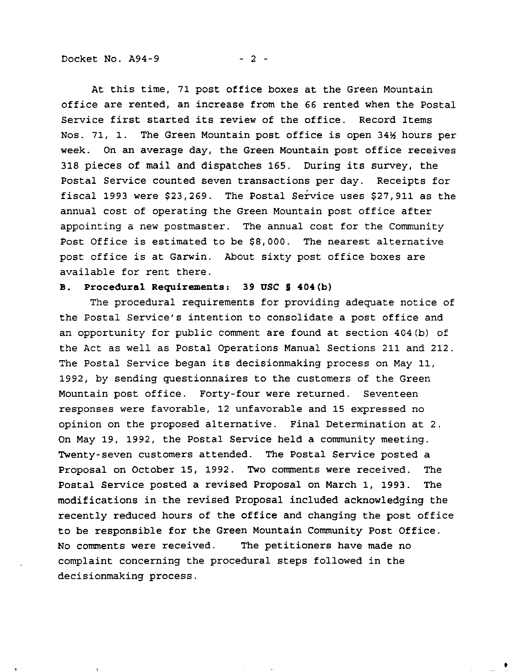At this time, 71 post office boxes at the Green Mountain office are rented, an increase from the 66 rented when the Postal Service first started its review of the office. Record Items Nos. 71, 1. The Green Mountain post office is open 34% hours per week. On an average day, the Green Mountain post office receives <sup>318</sup> pieces of mail and dispatches 165. During its survey, the Postal Service counted seven transactions per day. Receipts for fiscal 1993 were \$23,269. The Postal Service uses \$27,911 as the annual cost of operating the Green Mountain post office after appointing a new postmaster. The annual cost for the Community Post Office is estimated to be \$8,000. The nearest alternative post office is at Garwin. About sixty post office boxes are available for rent there.

### **B. Procedural Requirements: 39 OSC § 404(b)**

The procedural requirements for providing adequate notice of the Postal Service's intention to consolidate a post office and an opportunity for public comment are found at section 404(b) of the Act as well as Postal Operations Manual Sections 211 and 212. The Postal Service began its decisionmaking process on May 11, 1992, by sending questionnaires to the customers of the Green Mountain post office. Forty-four were returned. Seventeen responses were favorable, 12 unfavorable and 15 expressed no opinion on the proposed alternative. Final Determination at 2. On May 19, 1992, the Postal Service held a community meeting. Twenty-seven customers attended. The Postal Service posted a Proposal on October 15, 1992. Two comments were received. The Postal Service posted a revised Proposal on March 1, 1993. The modifications in the revised Proposal included acknowledging the recently reduced hours of the office and changing the post office to be responsible for the Green Mountain Community Post Office. No comments were received. The petitioners have made no complaint concerning the procedural steps followed in the decisionmaking process.

•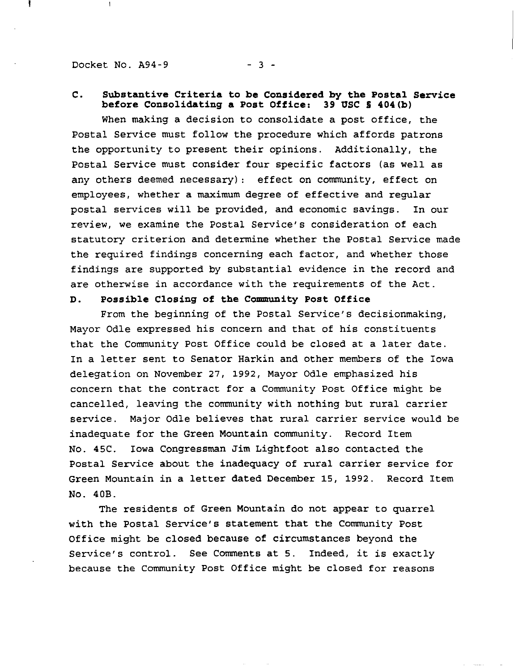Docket No.  $A94-9$  - 3 -

 $\overline{\phantom{a}}$ 

# **C. Substantive Criteria to be Considered by the Postal Service before Consolidating a Post Office: 39 USC 5 404(b)**

When making a decision to consolidate a post office, the Postal Service must follow the procedure which affords patrons the opportunity to present their opinions. Additionally, the Postal Service must consider four specific factors (as well as any others deemed necessary): effect on community, effect on employees, whether a maximum degree of effective and regular postal services will be provided, and economic savings. In our review, we examine the Postal Service's consideration of each statutory criterion and determine whether the Postal Service made the required findings concerning each factor, and whether those findings are supported by substantial evidence in the record and are otherwise in accordance with the requirements of the Act.

#### **D. Possible Closing of the Community Post Office**

From the beginning of the Postal Service's decisionmaking, Mayor OdIe expressed his concern and that of his constituents that the Community Post Office could be closed at a later date. In <sup>a</sup> letter sent to Senator Harkin and other members of the Iowa delegation on November 27, 1992, Mayor OdIe emphasized his concern that the contract for a Community Post Office might be cancelled, leaving the community with nothing but rural carrier service. Major OdIe believes that rural carrier service would be inadequate for the Green Mountain community. Record Item No. 45C. Iowa Congressman Jim Lightfoot also contacted the Postal Service about the inadequacy of rural carrier service for Green Mountain in <sup>a</sup> letter dated December 15, 1992. Record Item No. 40B.

The residents of Green Mountain do not appear to quarrel with the Postal Service's statement that the Community Post Office might be closed because of circumstances beyond the Service's control. See Comments at 5. Indeed, it is exactly because the Community Post Office might be closed for reasons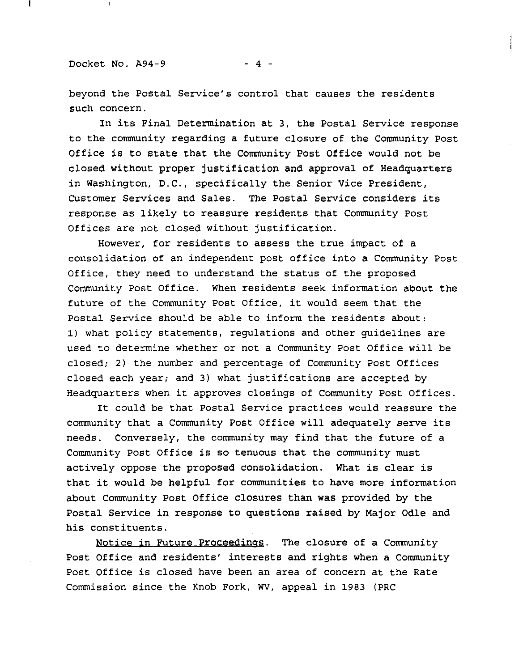beyond the Postal Service's control that causes the residents such concern.

In its Final Determination at 3, the Postal Service response to the community regarding a future closure of the Community Post Office is to state that the Community Post Office would not be closed without proper justification and approval of Headquarters in Washington, D.C., specifically the Senior Vice President, Customer Services and Sales. The Postal Service considers its response as likely to reassure residents that Community Post Offices are not closed without justification.

However, for residents to assess the true impact of a consolidation of an independent post office into a Community Post Office, they need to understand the status of the proposed Community Post Office. When residents seek information about the future of the Community Post Office, it would seem that the Postal Service should be able to inform the residents about: 1) what policy statements, regulations and other guidelines are used to determine whether or not a Community Post Office will be closed; 2) the number and percentage of Community Post Offices closed each year; and 3) what justifications are accepted by Headquarters when it approves closings of Community Post Offices.

It could be that Postal Service practices would reassure the community that <sup>a</sup> Community Post Office will adequately serve its needs. Conversely, the community may find that the future of a Community Post Office is so tenuous that the community must actively oppose the proposed consolidation. What is clear is that it would be helpful for communities to have more information about Community Post Office closures than was provided by the Postal Service in response to questions raised by Major Odle and his constituents.

Notice in Future Proceedings. The closure of a Community Post Office and residents' interests and rights when a Community Post Office is closed have been an area of concern at the Rate Commission since the Knob Fork, WV, appeal in 1983 (PRC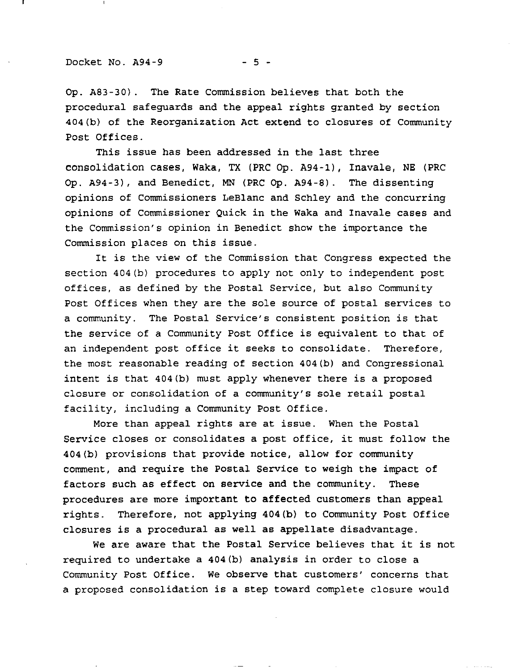#### Docket No.  $A94-9$  - 5 -

Op. A83-30). The Rate Commission believes that both the procedural safeguards and the appeal rights granted by section 404(b) of the Reorganization Act extend to closures of Community Post Offices.

This issue has been addressed in the last three consolidation cases, Waka, TX (PRC Op. A94-1), Inavale, NE (PRC Op. A94-3), and Benedict, MN (PRC Cp. A94-8). The dissenting opinions of Commissioners LeBlanc and Schley and the concurring opinions of Commissioner Quick in the Waka and Inavale cases and the Commission's opinion in Benedict show the importance the Commission places on this issue.

It is the view of the Commission that Congress expected the section 404(b) procedures to apply not only to independent post offices, as defined by the Postal Service, but also Community Post Offices when they are the sole source of postal services to <sup>a</sup> community. The Postal Service's consistent position is that the service of <sup>a</sup> Community Post Office is equivalent to that of an independent post office it seeks to consolidate. Therefore, the most reasonable reading of section 404(b) and Congressional intent is that 404(b) must apply whenever there is <sup>a</sup> proposed closure or consolidation of <sup>a</sup> community's sole retail postal facility, including a Community Post Office.

More than appeal rights are at issue. When the Postal Service closes or consolidates <sup>a</sup> post office, it must follow the 404(b) provisions that provide notice, allow for community comment, and require the Postal Service to weigh the impact of factors such as effect on service and the community. These procedures are more important to affected customers than appeal rights. Therefore, not applying 404(b) to Community Post Office closures is <sup>a</sup> procedural as well as appellate disadvantage.

We are aware that the Postal Service believes that it is not required to undertake a 404(b) analysis in order to close a Community Post Office. We observe that customers' concerns that a proposed consolidation is a step toward complete closure would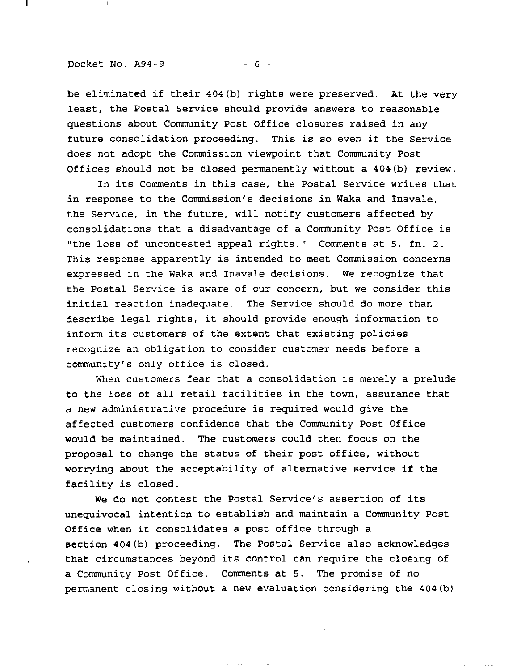#### Docket No.  $A94-9$  - 6 -

 $\mathbf{I}$ 

be eliminated if their 404(b) rights were preserved. At the very least, the Postal Service should provide answers to reasonable questions about Community Post Office closures raised in any future consolidation proceeding. This is so even if the Service does not adopt the Commission viewpoint that Community Post Offices should not be closed permanently without a 404(b) review.

In its Comments in this case, the Postal Service writes that in response to the Commission's decisions in Waka and Inavale, the Service, in the future, will notify customers affected by consolidations that a disadvantage of a Community Post Office is "the loss of uncontested appeal rights." Comments at 5, fn. 2. This response apparently is intended to meet Commission concerns expressed in the Waka and Inavale decisions. We recognize that the Postal Service is aware of our concern, but we consider this initial reaction inadequate. The Service should do more than describe legal rights, it should provide enough information to inform its customers of the extent that existing policies recognize an obligation to consider customer needs before a community's only office is closed.

When customers fear that a consolidation is merely a prelude to the loss of all retail facilities in the town, assurance that a new administrative procedure is required would give the affected customers confidence that the Community Post Office would be maintained. The customers could then focus on the proposal to change the status of their post office, without worrying about the acceptability of alternative service if the facility is closed.

We do not contest the Postal Service's assertion of its unequivocal intention to establish and maintain a Community Post Office when it consolidates <sup>a</sup> post office through <sup>a</sup> section 404(b) proceeding. The Postal Service also acknowledges that circumstances beyond its control can require the closing of a Community Post Office. Comments at 5. The promise of no permanent closing without a new evaluation considering the 404(b)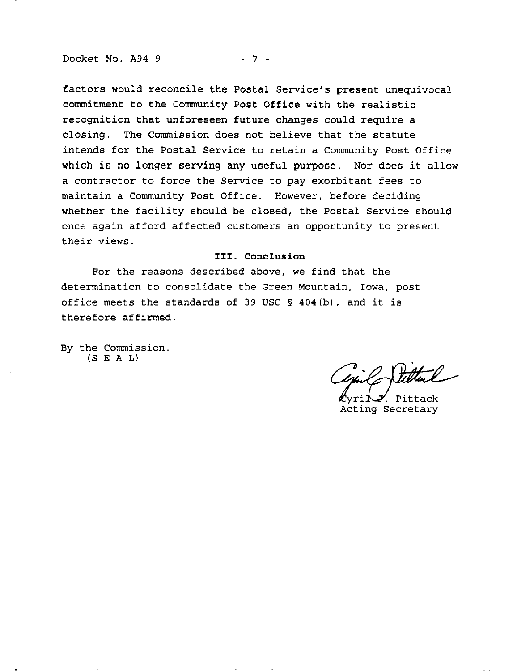#### Docket No. A94-9 - 7 -

factors would reconcile the Postal Service's present unequivocal commitment to the Community Post Office with the realistic recognition that unforeseen future changes could require a closing. The Commission does not believe that the statute intends for the Postal Service to retain a Community Post Office which is no longer serving any useful purpose. Nor does it allow a contractor to force the Service to pay exorbitant fees to maintain a Community Post Office. However, before deciding whether the facility should be closed, the Postal Service should once again afford affected customers an opportunity to present their views.

### **III. Conclusion**

For the reasons described above, we find that the determination to consolidate the Green Mountain, Iowa, post office meets the standards of <sup>39</sup> USC § 404(b), and it is therefore affirmed.

By the Commission.  $(S E A L)$ 

<u>,</u>

. Pittack Acting Secretary